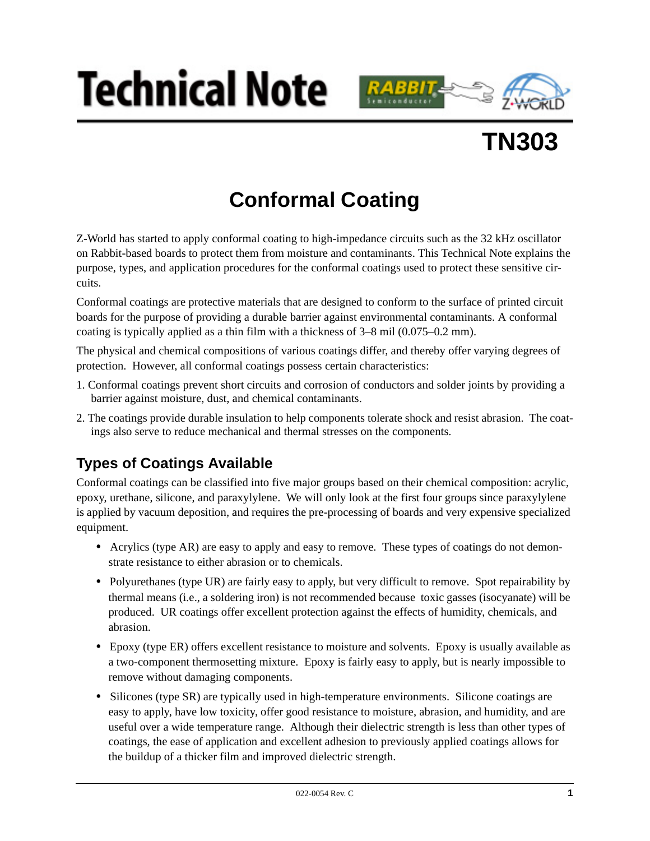





# **Conformal Coating**

Z-World has started to apply conformal coating to high-impedance circuits such as the 32 kHz oscillator on Rabbit-based boards to protect them from moisture and contaminants. This Technical Note explains the purpose, types, and application procedures for the conformal coatings used to protect these sensitive circuits.

Conformal coatings are protective materials that are designed to conform to the surface of printed circuit boards for the purpose of providing a durable barrier against environmental contaminants. A conformal coating is typically applied as a thin film with a thickness of 3–8 mil (0.075–0.2 mm).

The physical and chemical compositions of various coatings differ, and thereby offer varying degrees of protection. However, all conformal coatings possess certain characteristics:

- 1. Conformal coatings prevent short circuits and corrosion of conductors and solder joints by providing a barrier against moisture, dust, and chemical contaminants.
- 2. The coatings provide durable insulation to help components tolerate shock and resist abrasion. The coatings also serve to reduce mechanical and thermal stresses on the components.

## **Types of Coatings Available**

Conformal coatings can be classified into five major groups based on their chemical composition: acrylic, epoxy, urethane, silicone, and paraxylylene. We will only look at the first four groups since paraxylylene is applied by vacuum deposition, and requires the pre-processing of boards and very expensive specialized equipment.

- Acrylics (type AR) are easy to apply and easy to remove. These types of coatings do not demonstrate resistance to either abrasion or to chemicals.
- Polyurethanes (type UR) are fairly easy to apply, but very difficult to remove. Spot repairability by thermal means (i.e., a soldering iron) is not recommended because toxic gasses (isocyanate) will be produced. UR coatings offer excellent protection against the effects of humidity, chemicals, and abrasion.
- Epoxy (type ER) offers excellent resistance to moisture and solvents. Epoxy is usually available as a two-component thermosetting mixture. Epoxy is fairly easy to apply, but is nearly impossible to remove without damaging components.
- Silicones (type SR) are typically used in high-temperature environments. Silicone coatings are easy to apply, have low toxicity, offer good resistance to moisture, abrasion, and humidity, and are useful over a wide temperature range. Although their dielectric strength is less than other types of coatings, the ease of application and excellent adhesion to previously applied coatings allows for the buildup of a thicker film and improved dielectric strength.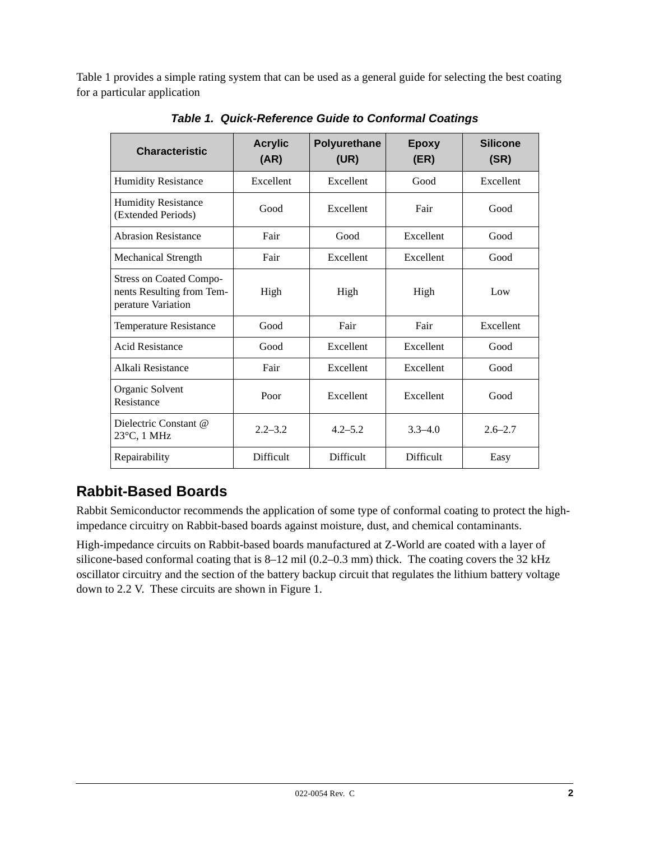<span id="page-1-0"></span>[Table 1](#page-1-0) provides a simple rating system that can be used as a general guide for selecting the best coating for a particular application

| <b>Characteristic</b>                                                             | <b>Acrylic</b><br>(AR) | Polyurethane<br>(UR) | <b>Epoxy</b><br>(ER) | <b>Silicone</b><br>(SR) |
|-----------------------------------------------------------------------------------|------------------------|----------------------|----------------------|-------------------------|
| <b>Humidity Resistance</b>                                                        | Excellent              | Excellent            | Good                 | Excellent               |
| <b>Humidity Resistance</b><br>(Extended Periods)                                  | Good                   | Excellent            | Fair                 | Good                    |
| <b>Abrasion Resistance</b>                                                        | Fair                   | Good                 | Excellent            | Good                    |
| <b>Mechanical Strength</b>                                                        | Fair                   | Excellent            | Excellent            | Good                    |
| <b>Stress on Coated Compo-</b><br>nents Resulting from Tem-<br>perature Variation | High                   | High                 | High                 | Low                     |
| <b>Temperature Resistance</b>                                                     | Good                   | Fair                 | Fair                 | Excellent               |
| <b>Acid Resistance</b>                                                            | Good                   | Excellent            | Excellent            | Good                    |
| Alkali Resistance                                                                 | Fair                   | Excellent            | Excellent            | Good                    |
| Organic Solvent<br>Resistance                                                     | Poor                   | Excellent            | Excellent            | Good                    |
| Dielectric Constant @<br>$23^{\circ}$ C, 1 MHz                                    | $2.2 - 3.2$            | $4.2 - 5.2$          | $3.3 - 4.0$          | $2.6 - 2.7$             |
| Repairability                                                                     | Difficult              | <b>Difficult</b>     | <b>Difficult</b>     | Easy                    |

*Table 1. Quick-Reference Guide to Conformal Coatings*

## **Rabbit-Based Boards**

Rabbit Semiconductor recommends the application of some type of conformal coating to protect the highimpedance circuitry on Rabbit-based boards against moisture, dust, and chemical contaminants.

High-impedance circuits on Rabbit-based boards manufactured at Z-World are coated with a layer of silicone-based conformal coating that is 8–12 mil (0.2–0.3 mm) thick. The coating covers the 32 kHz oscillator circuitry and the section of the battery backup circuit that regulates the lithium battery voltage down to 2.2 V. These circuits are shown in [Figure 1.](#page-2-0)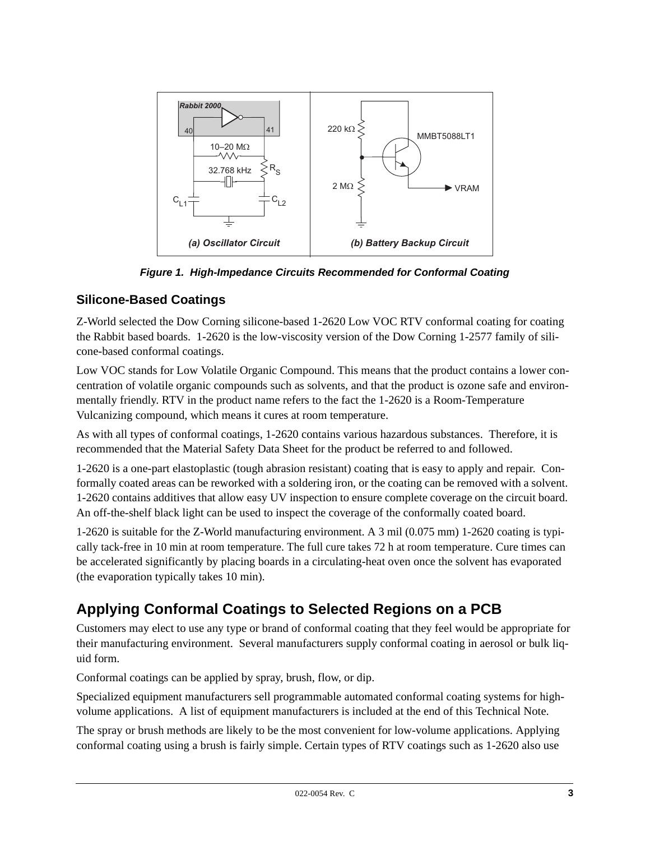

*Figure 1. High-Impedance Circuits Recommended for Conformal Coating*

#### <span id="page-2-0"></span>**Silicone-Based Coatings**

Z-World selected the Dow Corning silicone-based 1-2620 Low VOC RTV conformal coating for coating the Rabbit based boards. 1-2620 is the low-viscosity version of the Dow Corning 1-2577 family of silicone-based conformal coatings.

Low VOC stands for Low Volatile Organic Compound. This means that the product contains a lower concentration of volatile organic compounds such as solvents, and that the product is ozone safe and environmentally friendly. RTV in the product name refers to the fact the 1-2620 is a Room-Temperature Vulcanizing compound, which means it cures at room temperature.

As with all types of conformal coatings, 1-2620 contains various hazardous substances. Therefore, it is recommended that the Material Safety Data Sheet for the product be referred to and followed.

1-2620 is a one-part elastoplastic (tough abrasion resistant) coating that is easy to apply and repair. Conformally coated areas can be reworked with a soldering iron, or the coating can be removed with a solvent. 1-2620 contains additives that allow easy UV inspection to ensure complete coverage on the circuit board. An off-the-shelf black light can be used to inspect the coverage of the conformally coated board.

1-2620 is suitable for the Z-World manufacturing environment. A 3 mil (0.075 mm) 1-2620 coating is typically tack-free in 10 min at room temperature. The full cure takes 72 h at room temperature. Cure times can be accelerated significantly by placing boards in a circulating-heat oven once the solvent has evaporated (the evaporation typically takes 10 min).

## **Applying Conformal Coatings to Selected Regions on a PCB**

Customers may elect to use any type or brand of conformal coating that they feel would be appropriate for their manufacturing environment. Several manufacturers supply conformal coating in aerosol or bulk liquid form.

Conformal coatings can be applied by spray, brush, flow, or dip.

Specialized equipment manufacturers sell programmable automated conformal coating systems for highvolume applications. A list of equipment manufacturers is included at the end of this Technical Note.

The spray or brush methods are likely to be the most convenient for low-volume applications. Applying conformal coating using a brush is fairly simple. Certain types of RTV coatings such as 1-2620 also use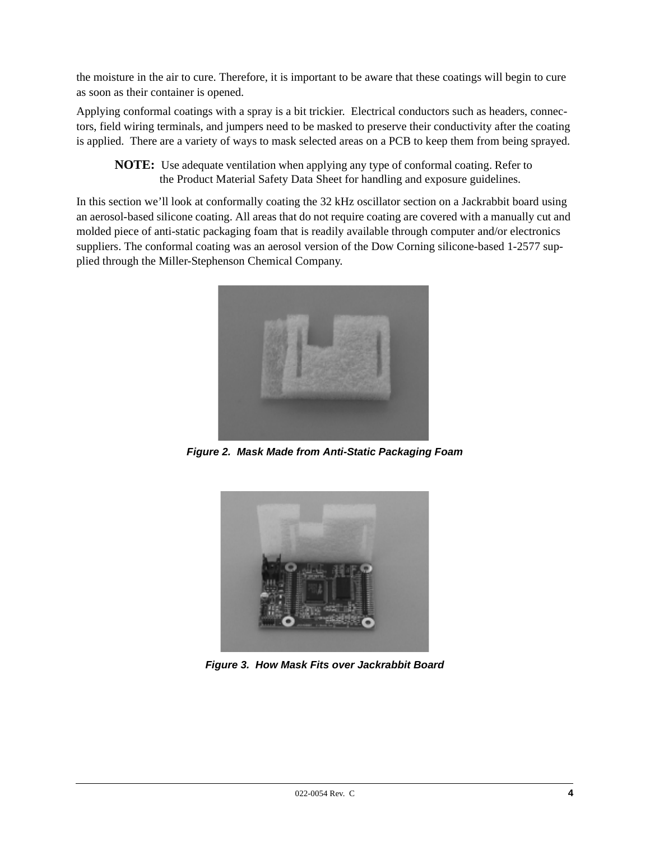the moisture in the air to cure. Therefore, it is important to be aware that these coatings will begin to cure as soon as their container is opened.

Applying conformal coatings with a spray is a bit trickier. Electrical conductors such as headers, connectors, field wiring terminals, and jumpers need to be masked to preserve their conductivity after the coating is applied. There are a variety of ways to mask selected areas on a PCB to keep them from being sprayed.

**NOTE:** Use adequate ventilation when applying any type of conformal coating. Refer to the Product Material Safety Data Sheet for handling and exposure guidelines.

In this section we'll look at conformally coating the 32 kHz oscillator section on a Jackrabbit board using an aerosol-based silicone coating. All areas that do not require coating are covered with a manually cut and molded piece of anti-static packaging foam that is readily available through computer and/or electronics suppliers. The conformal coating was an aerosol version of the Dow Corning silicone-based 1-2577 supplied through the Miller-Stephenson Chemical Company.



*Figure 2. Mask Made from Anti-Static Packaging Foam*



*Figure 3. How Mask Fits over Jackrabbit Board*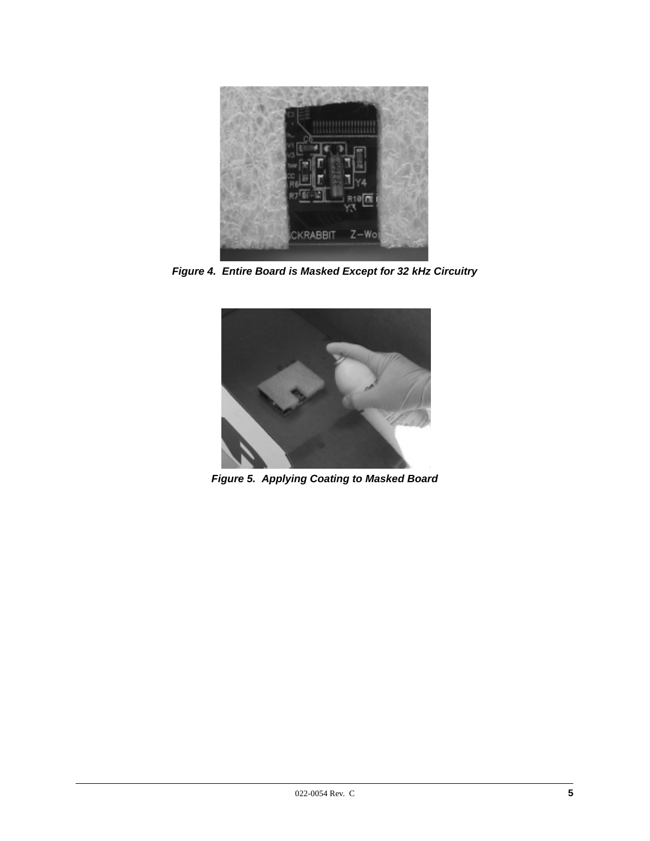

*Figure 4. Entire Board is Masked Except for 32 kHz Circuitry*



*Figure 5. Applying Coating to Masked Board*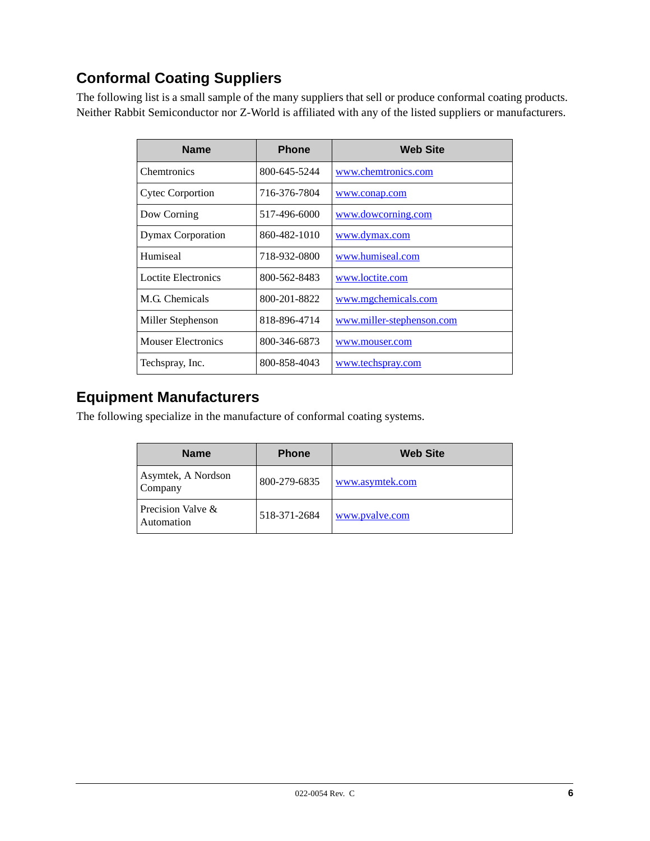# **Conformal Coating Suppliers**

The following list is a small sample of the many suppliers that sell or produce conformal coating products. Neither Rabbit Semiconductor nor Z-World is affiliated with any of the listed suppliers or manufacturers.

| <b>Name</b>               | <b>Phone</b> | <b>Web Site</b>           |
|---------------------------|--------------|---------------------------|
| <b>Chemtronics</b>        | 800-645-5244 | www.chemtronics.com       |
| <b>Cytec Corportion</b>   | 716-376-7804 | www.conap.com             |
| Dow Corning               | 517-496-6000 | www.dowcorning.com        |
| Dymax Corporation         | 860-482-1010 | www.dymax.com             |
| Humiseal                  | 718-932-0800 | www.humiseal.com          |
| Loctite Electronics       | 800-562-8483 | www.loctite.com           |
| M.G. Chemicals            | 800-201-8822 | www.mgchemicals.com       |
| Miller Stephenson         | 818-896-4714 | www.miller-stephenson.com |
| <b>Mouser Electronics</b> | 800-346-6873 | www.mouser.com            |
| Techspray, Inc.           | 800-858-4043 | www.techspray.com         |

#### **Equipment Manufacturers**

The following specialize in the manufacture of conformal coating systems.

| <b>Name</b>                     | <b>Phone</b> | <b>Web Site</b> |
|---------------------------------|--------------|-----------------|
| Asymtek, A Nordson<br>Company   | 800-279-6835 | www.asymtek.com |
| Precision Valve &<br>Automation | 518-371-2684 | www.pvalve.com  |